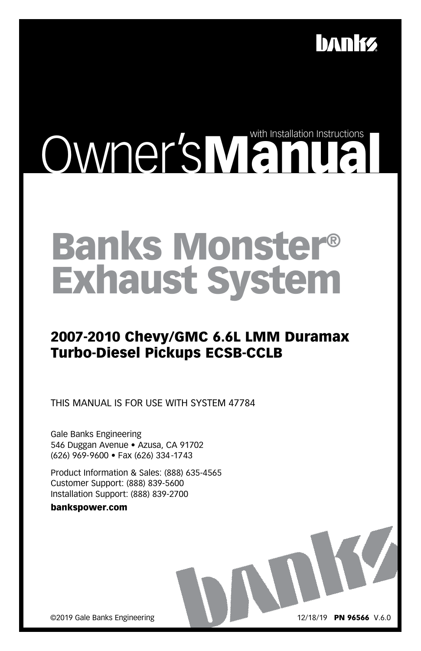

# Owner'sManual Manual

# Banks Monster® Exhaust System

#### 2007-2010 Chevy/GMC 6.6L LMM Duramax Turbo-Diesel Pickups ECSB-CCLB

THIS MANUAL IS FOR USE WITH SYSTEM 47784

Gale Banks Engineering 546 Duggan Avenue • Azusa, CA 91702 (626) 969-9600 • Fax (626) 334-1743

Product Information & Sales: (888) 635-4565 Customer Support: (888) 839-5600 Installation Support: (888) 839-2700

#### bankspower.com

©2019 Gale Banks Engineering

12/18/19 PN 96566 V.6.0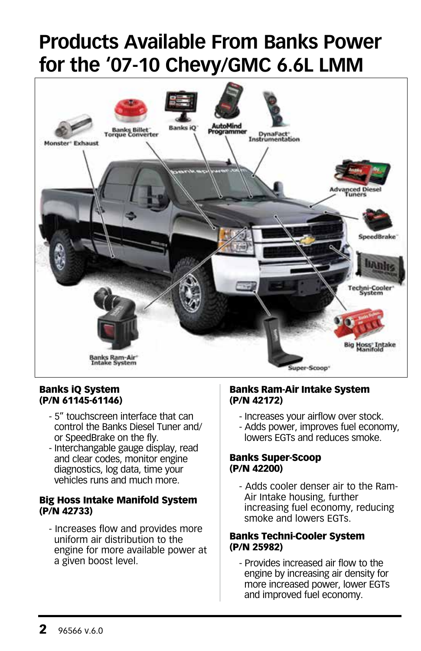# **Products Available From Banks Power for the '07-10 Chevy/GMC 6.6L LMM**



#### Banks iQ System (P/N 61145-61146)

- 5" touchscreen interface that can control the Banks Diesel Tuner and/ or SpeedBrake on the fly.
- Interchangable gauge display, read and clear codes, monitor engine diagnostics, log data, time your vehicles runs and much more.

#### Big Hoss Intake Manifold System (P/N 42733)

- Increases flow and provides more uniform air distribution to the engine for more available power at a given boost level.

#### Banks Ram-Air Intake System (P/N 42172)

- Increases your airflow over stock.
- Adds power, improves fuel economy, lowers EGTs and reduces smoke.

#### Banks Super-Scoop (P/N 42200)

- Adds cooler denser air to the Ram-Air Intake housing, further increasing fuel economy, reducing smoke and lowers EGTs.

#### Banks Techni-Cooler System (P/N 25982)

- Provides increased air flow to the engine by increasing air density for more increased power, lower EGTs and improved fuel economy.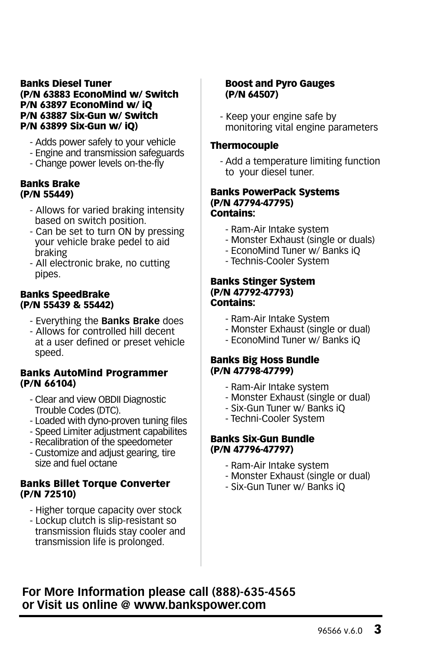#### Banks Diesel Tuner (P/N 63883 EconoMind w/ Switch P/N 63897 EconoMind w/ iQ P/N 63887 Six-Gun w/ Switch P/N 63899 Six-Gun w/ iQ)

- Adds power safely to your vehicle
- Engine and transmission safeguards
- Change power levels on-the-fly

#### Banks Brake (P/N 55449)

- Allows for varied braking intensity based on switch position.
- Can be set to turn ON by pressing your vehicle brake pedel to aid braking
- All electronic brake, no cutting pipes.

#### Banks SpeedBrake (P/N 55439 & 55442)

- Everything the **Banks Brake** does
- Allows for controlled hill decent at a user defined or preset vehicle speed.

#### Banks AutoMind Programmer (P/N 66104)

- Clear and view OBDII Diagnostic Trouble Codes (DTC).
- Loaded with dyno-proven tuning files
- Speed Limiter adjustment capabilites
- Recalibration of the speedometer
- Customize and adjust gearing, tire size and fuel octane

#### Banks Billet Torque Converter (P/N 72510)

- Higher torque capacity over stock
- Lockup clutch is slip-resistant so transmission fluids stay cooler and transmission life is prolonged.

#### Boost and Pyro Gauges (P/N 64507)

- Keep your engine safe by monitoring vital engine parameters

#### **Thermocouple**

- Add a temperature limiting function to your diesel tuner.

#### Banks PowerPack Systems (P/N 47794-47795) Contains:

- Ram-Air Intake system
- Monster Exhaust (single or duals)
- EconoMind Tuner w/ Banks iQ
- Technis-Cooler System

#### Banks Stinger System (P/N 47792-47793) Contains:

- Ram-Air Intake System
- Monster Exhaust (single or dual)
- EconoMind Tuner w/ Banks iQ

#### Banks Big Hoss Bundle (P/N 47798-47799)

- Ram-Air Intake system
- Monster Exhaust (single or dual)
- Six-Gun Tuner w/ Banks iQ
- Techni-Cooler System

#### Banks Six-Gun Bundle (P/N 47796-47797)

- Ram-Air Intake system
- Monster Exhaust (single or dual)
- Six-Gun Tuner w/ Banks iQ

#### **For More Information please call (888)-635-4565 or Visit us online @ www.bankspower.com**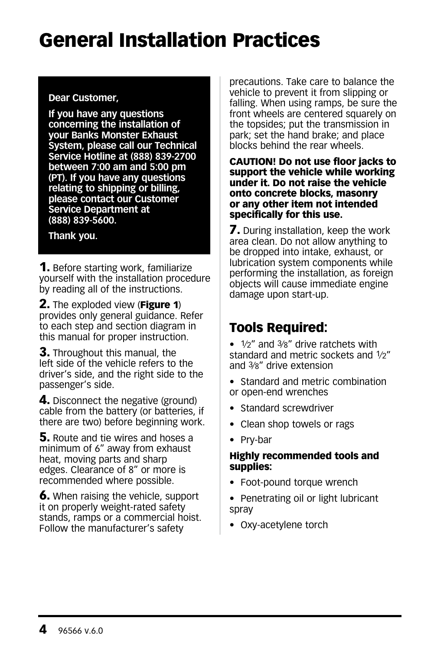### General Installation Practices

#### **Dear Customer,**

**If you have any questions concerning the installation of your Banks Monster Exhaust System, please call our Technical Service Hotline at (888) 839-2700 between 7:00 am and 5:00 pm (PT). If you have any questions relating to shipping or billing, please contact our Customer Service Department at (888) 839-5600.**

#### **Thank you.**

**1.** Before starting work, familiarize yourself with the installation procedure by reading all of the instructions.

**2.** The exploded view (**Figure 1**) provides only general guidance. Refer to each step and section diagram in this manual for proper instruction.

**3.** Throughout this manual, the left side of the vehicle refers to the driver's side, and the right side to the passenger's side.

4. Disconnect the negative (ground) cable from the battery (or batteries, if there are two) before beginning work.

**5.** Route and tie wires and hoses a minimum of 6" away from exhaust heat, moving parts and sharp edges. Clearance of 8" or more is recommended where possible.

**6.** When raising the vehicle, support it on properly weight-rated safety stands, ramps or a commercial hoist. Follow the manufacturer's safety

precautions. Take care to balance the vehicle to prevent it from slipping or falling. When using ramps, be sure the front wheels are centered squarely on the topsides; put the transmission in park; set the hand brake; and place blocks behind the rear wheels.

#### CAUTION! Do not use floor jacks to support the vehicle while working under it. Do not raise the vehicle onto concrete blocks, masonry or any other item not intended specifically for this use.

**7.** During installation, keep the work area clean. Do not allow anything to be dropped into intake, exhaust, or lubrication system components while performing the installation, as foreign objects will cause immediate engine damage upon start-up.

#### Tools Required:

- 1/2" and 3/8" drive ratchets with standard and metric sockets and 1/2" and 3⁄8" drive extension
- Standard and metric combination or open-end wrenches
- Standard screwdriver
- Clean shop towels or rags
- Pry-bar

#### Highly recommended tools and supplies:

- Foot-pound torque wrench
- Penetrating oil or light lubricant spray
- Oxy-acetylene torch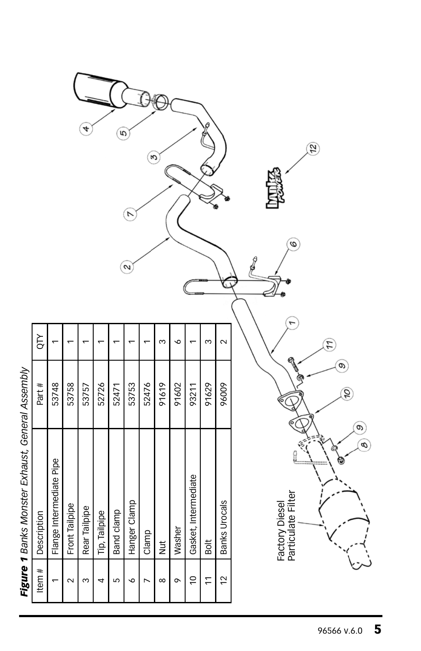| ו היה היה הו            |  |
|-------------------------|--|
|                         |  |
| Lyhauet Canaralı        |  |
| ו מהההברי               |  |
| أحداجه<br>ミミマ<br>.<br>. |  |
| ı                       |  |

|             |                          |                    |               |               |            | r            |       |            |        |                      |                |                    |  |
|-------------|--------------------------|--------------------|---------------|---------------|------------|--------------|-------|------------|--------|----------------------|----------------|--------------------|--|
|             |                          |                    |               |               |            | 2            |       |            |        |                      |                |                    |  |
| <b>ALO</b>  |                          |                    |               |               |            |              |       |            | c      |                      | m              | $\scriptstyle\sim$ |  |
| Part #      | 53748                    | 53758              | 53757         | 52726         | 52471      | 53753        | 52476 | 91619      | 91602  | 93211                | 91629          | 96009              |  |
| Description | Flange Intermediate Pipe | Front Tailpipe     | Rear Tailpipe | Tip, Tailpipe | Band clamp | Hanger Clamp | Clamp | <b>Jur</b> | Washer | Gasket, Intermediate | Bolt           | Banks Urocals      |  |
| Item $#$    |                          | $\scriptstyle\sim$ | ო             | 4             | Б          | ∘            |       | ∞          | ᡡ      | $\overline{C}$       | $\overline{1}$ | $\overline{c}$     |  |

ॽ

 $\circledcirc$ 

 $\widehat{A}$ 

Factory Diesel<br>Particulate Filter Particulate FilterFactory Diesel

 $\mathbf{r}$ 

J

İ

 $\mathcal{L}$ 

 $\circledcirc$ 

 $\widehat{\mathscr{A}}$ 

 $\circledcirc$  $\mathcal{C}$ 

 $\mathfrak{B}$ 

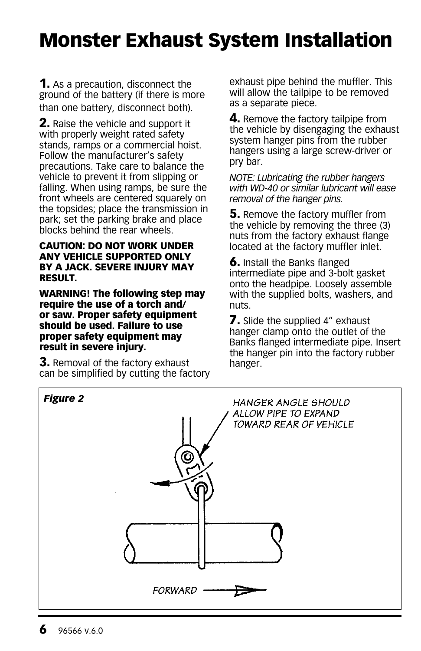# Monster Exhaust System Installation

**1.** As a precaution, disconnect the ground of the battery (if there is more than one battery, disconnect both).

2. Raise the vehicle and support it with properly weight rated safety stands, ramps or a commercial hoist. Follow the manufacturer's safety precautions. Take care to balance the vehicle to prevent it from slipping or falling. When using ramps, be sure the front wheels are centered squarely on the topsides; place the transmission in park; set the parking brake and place blocks behind the rear wheels.

#### CAUTION: DO NOT WORK UNDER ANY VEHICLE SUPPORTED ONLY BY A JACK. SEVERE INJURY MAY RESULT.

WARNING! The following step may require the use of a torch and/ or saw. Proper safety equipment should be used. Failure to use proper safety equipment may result in severe injury.

**3.** Removal of the factory exhaust can be simplified by cutting the factory exhaust pipe behind the muffler. This will allow the tailpipe to be removed as a separate piece.

**4.** Remove the factory tailpipe from the vehicle by disengaging the exhaust system hanger pins from the rubber hangers using a large screw-driver or pry bar.

*NOTE: Lubricating the rubber hangers with WD-40 or similar lubricant will ease removal of the hanger pins.*

**5.** Remove the factory muffler from the vehicle by removing the three (3) nuts from the factory exhaust flange located at the factory muffler inlet.

6. Install the Banks flanged intermediate pipe and 3-bolt gasket onto the headpipe. Loosely assemble with the supplied bolts, washers, and nuts.

**7.** Slide the supplied 4" exhaust hanger clamp onto the outlet of the Banks flanged intermediate pipe. Insert the hanger pin into the factory rubber hanger.

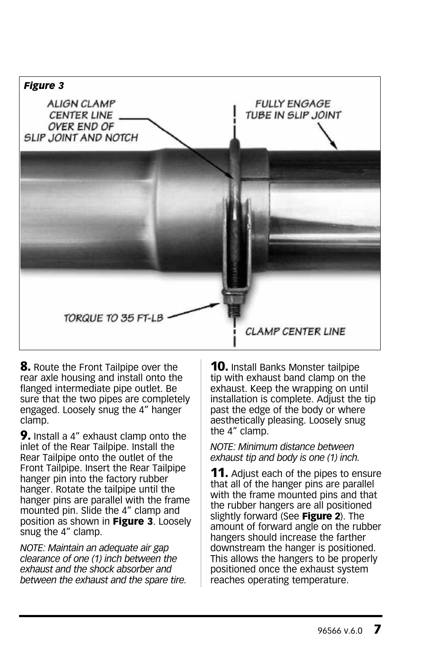

**8.** Route the Front Tailpipe over the rear axle housing and install onto the flanged intermediate pipe outlet. Be sure that the two pipes are completely engaged. Loosely snug the 4" hanger clamp.

**9.** Install a 4" exhaust clamp onto the inlet of the Rear Tailpipe. Install the Rear Tailpipe onto the outlet of the Front Tailpipe. Insert the Rear Tailpipe hanger pin into the factory rubber hanger. Rotate the tailpipe until the hanger pins are parallel with the frame mounted pin. Slide the 4" clamp and position as shown in Figure 3. Loosely snug the 4" clamp.

*NOTE: Maintain an adequate air gap clearance of one (1) inch between the exhaust and the shock absorber and between the exhaust and the spare tire.* **10.** Install Banks Monster tailpipe tip with exhaust band clamp on the exhaust. Keep the wrapping on until installation is complete. Adjust the tip past the edge of the body or where aesthetically pleasing. Loosely snug the 4" clamp.

*NOTE: Minimum distance between exhaust tip and body is one (1) inch.*

**11.** Adjust each of the pipes to ensure that all of the hanger pins are parallel with the frame mounted pins and that the rubber hangers are all positioned slightly forward (See Figure 2). The amount of forward angle on the rubber hangers should increase the farther downstream the hanger is positioned. This allows the hangers to be properly positioned once the exhaust system reaches operating temperature.